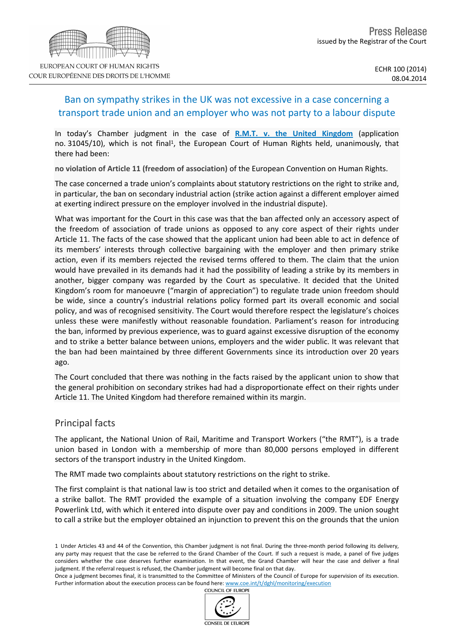# Ban on sympathy strikes in the UK was not excessive in a case concerning a transport trade union and an employer who was not party to a labour dispute

In today's Chamber judgment in the case of **[R.M.T.](http://hudoc.echr.coe.int/sites/eng/pages/search.aspx?i=001-142192) [v.](http://hudoc.echr.coe.int/sites/eng/pages/search.aspx?i=001-142192) [the](http://hudoc.echr.coe.int/sites/eng/pages/search.aspx?i=001-142192) [United](http://hudoc.echr.coe.int/sites/eng/pages/search.aspx?i=001-142192) [Kingdom](http://hudoc.echr.coe.int/sites/eng/pages/search.aspx?i=001-142192)** (application no. 31045/10), which is not final<sup>1</sup>, the European Court of Human Rights held, unanimously, that there had been:

**no violation of Article 11 (freedom of association)** of the European Convention on Human Rights.

The case concerned a trade union's complaints about statutory restrictions on the right to strike and, in particular, the ban on secondary industrial action (strike action against a different employer aimed at exerting indirect pressure on the employer involved in the industrial dispute).

What was important for the Court in this case was that the ban affected only an accessory aspect of the freedom of association of trade unions as opposed to any core aspect of their rights under Article 11. The facts of the case showed that the applicant union had been able to act in defence of its members' interests through collective bargaining with the employer and then primary strike action, even if its members rejected the revised terms offered to them. The claim that the union would have prevailed in its demands had it had the possibility of leading a strike by its members in another, bigger company was regarded by the Court as speculative. It decided that the United Kingdom's room for manoeuvre ("margin of appreciation") to regulate trade union freedom should be wide, since a country's industrial relations policy formed part its overall economic and social policy, and was of recognised sensitivity. The Court would therefore respect the legislature's choices unless these were manifestly without reasonable foundation. Parliament's reason for introducing the ban, informed by previous experience, was to guard against excessive disruption of the economy and to strike a better balance between unions, employers and the wider public. It was relevant that the ban had been maintained by three different Governments since its introduction over 20 years ago.

The Court concluded that there was nothing in the facts raised by the applicant union to show that the general prohibition on secondary strikes had had a disproportionate effect on their rights under Article 11. The United Kingdom had therefore remained within its margin.

### Principal facts

The applicant, the National Union of Rail, Maritime and Transport Workers ("the RMT"), is a trade union based in London with a membership of more than 80,000 persons employed in different sectors of the transport industry in the United Kingdom.

The RMT made two complaints about statutory restrictions on the right to strike.

The first complaint is that national law is too strict and detailed when it comes to the organisation of a strike ballot. The RMT provided the example of a situation involving the company EDF Energy Powerlink Ltd, with which it entered into dispute over pay and conditions in 2009. The union sought to call a strike but the employer obtained an injunction to prevent this on the grounds that the union

COUNCIL OF EUROPE



<sup>1</sup> Under Articles 43 and 44 of the Convention, this Chamber judgment is not final. During the three-month period following its delivery, any party may request that the case be referred to the Grand Chamber of the Court. If such a request is made, a panel of five judges considers whether the case deserves further examination. In that event, the Grand Chamber will hear the case and deliver a final judgment. If the referral request is refused, the Chamber judgment will become final on that day.

Once a judgment becomes final, it is transmitted to the Committee of Ministers of the Council of Europe for supervision of its execution. Further information about the execution process can be found here: [www.coe.int/t/dghl/monitoring/execution](http://www.coe.int/t/dghl/monitoring/execution)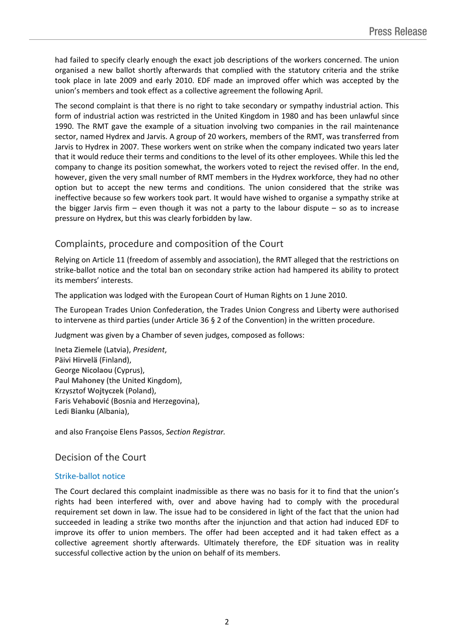had failed to specify clearly enough the exact job descriptions of the workers concerned. The union organised a new ballot shortly afterwards that complied with the statutory criteria and the strike took place in late 2009 and early 2010. EDF made an improved offer which was accepted by the union's members and took effect as a collective agreement the following April.

The second complaint is that there is no right to take secondary or sympathy industrial action. This form of industrial action was restricted in the United Kingdom in 1980 and has been unlawful since 1990. The RMT gave the example of a situation involving two companies in the rail maintenance sector, named Hydrex and Jarvis. A group of 20 workers, members of the RMT, was transferred from Jarvis to Hydrex in 2007. These workers went on strike when the company indicated two years later that it would reduce their terms and conditions to the level of its other employees. While this led the company to change its position somewhat, the workers voted to reject the revised offer. In the end, however, given the very small number of RMT members in the Hydrex workforce, they had no other option but to accept the new terms and conditions. The union considered that the strike was ineffective because so few workers took part. It would have wished to organise a sympathy strike at the bigger Jarvis firm  $-$  even though it was not a party to the labour dispute  $-$  so as to increase pressure on Hydrex, but this was clearly forbidden by law.

## Complaints, procedure and composition of the Court

Relying on Article 11 (freedom of assembly and association), the RMT alleged that the restrictions on strike-ballot notice and the total ban on secondary strike action had hampered its ability to protect its members' interests.

The application was lodged with the European Court of Human Rights on 1 June 2010.

The European Trades Union Confederation, the Trades Union Congress and Liberty were authorised to intervene as third parties (under Article 36 § 2 of the Convention) in the written procedure.

Judgment was given by a Chamber of seven judges, composed as follows:

Ineta **Ziemele** (Latvia), *President*, Päivi **Hirvelä** (Finland), George **Nicolaou** (Cyprus), Paul **Mahoney** (the United Kingdom), Krzysztof **Wojtyczek** (Poland), Faris **Vehabović** (Bosnia and Herzegovina), Ledi **Bianku** (Albania),

and also Françoise Elens Passos, *Section Registrar.*

### Decision of the Court

#### Strike-ballot notice

The Court declared this complaint inadmissible as there was no basis for it to find that the union's rights had been interfered with, over and above having had to comply with the procedural requirement set down in law. The issue had to be considered in light of the fact that the union had succeeded in leading a strike two months after the injunction and that action had induced EDF to improve its offer to union members. The offer had been accepted and it had taken effect as a collective agreement shortly afterwards. Ultimately therefore, the EDF situation was in reality successful collective action by the union on behalf of its members.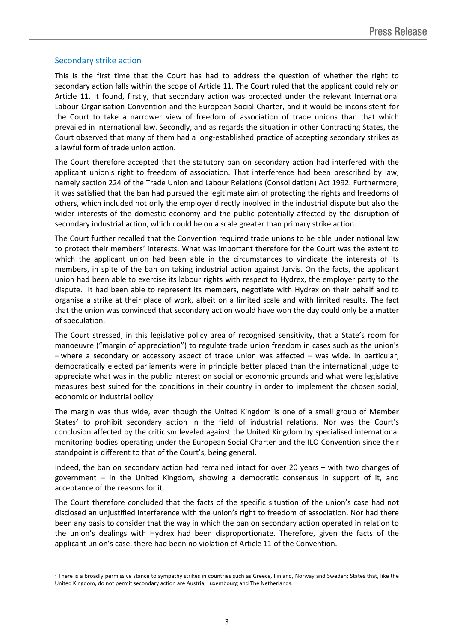#### Secondary strike action

This is the first time that the Court has had to address the question of whether the right to secondary action falls within the scope of Article 11. The Court ruled that the applicant could rely on Article 11. It found, firstly, that secondary action was protected under the relevant International Labour Organisation Convention and the European Social Charter, and it would be inconsistent for the Court to take a narrower view of freedom of association of trade unions than that which prevailed in international law. Secondly, and as regards the situation in other Contracting States, the Court observed that many of them had a long-established practice of accepting secondary strikes as a lawful form of trade union action.

The Court therefore accepted that the statutory ban on secondary action had interfered with the applicant union's right to freedom of association. That interference had been prescribed by law, namely section 224 of the Trade Union and Labour Relations (Consolidation) Act 1992. Furthermore, it was satisfied that the ban had pursued the legitimate aim of protecting the rights and freedoms of others, which included not only the employer directly involved in the industrial dispute but also the wider interests of the domestic economy and the public potentially affected by the disruption of secondary industrial action, which could be on a scale greater than primary strike action.

The Court further recalled that the Convention required trade unions to be able under national law to protect their members' interests. What was important therefore for the Court was the extent to which the applicant union had been able in the circumstances to vindicate the interests of its members, in spite of the ban on taking industrial action against Jarvis. On the facts, the applicant union had been able to exercise its labour rights with respect to Hydrex, the employer party to the dispute. It had been able to represent its members, negotiate with Hydrex on their behalf and to organise a strike at their place of work, albeit on a limited scale and with limited results. The fact that the union was convinced that secondary action would have won the day could only be a matter of speculation.

The Court stressed, in this legislative policy area of recognised sensitivity, that a State's room for manoeuvre ("margin of appreciation") to regulate trade union freedom in cases such as the union's – where a secondary or accessory aspect of trade union was affected – was wide. In particular, democratically elected parliaments were in principle better placed than the international judge to appreciate what was in the public interest on social or economic grounds and what were legislative measures best suited for the conditions in their country in order to implement the chosen social, economic or industrial policy.

The margin was thus wide, even though the United Kingdom is one of a small group of Member States<sup>2</sup> to prohibit secondary action in the field of industrial relations. Nor was the Court's conclusion affected by the criticism leveled against the United Kingdom by specialised international monitoring bodies operating under the European Social Charter and the ILO Convention since their standpoint is different to that of the Court's, being general.

Indeed, the ban on secondary action had remained intact for over 20 years – with two changes of government – in the United Kingdom, showing a democratic consensus in support of it, and acceptance of the reasons for it.

The Court therefore concluded that the facts of the specific situation of the union's case had not disclosed an unjustified interference with the union's right to freedom of association. Nor had there been any basis to consider that the way in which the ban on secondary action operated in relation to the union's dealings with Hydrex had been disproportionate. Therefore, given the facts of the applicant union's case, there had been no violation of Article 11 of the Convention.

<sup>&</sup>lt;sup>2</sup> There is a broadly permissive stance to sympathy strikes in countries such as Greece, Finland, Norway and Sweden; States that, like the United Kingdom, do not permit secondary action are Austria, Luxembourg and The Netherlands.